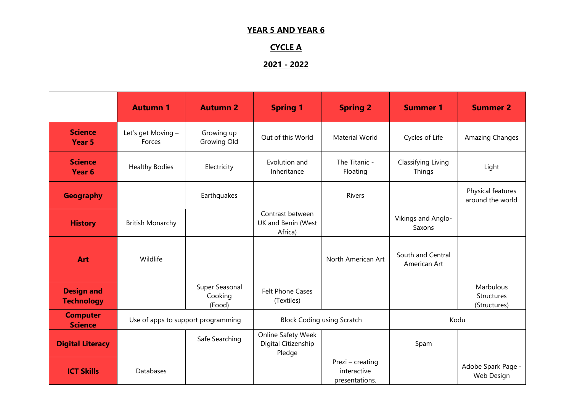#### **YEAR 5 AND YEAR 6**

# **CYCLE A**

# **2021 - 2022**

|                                        | <b>Autumn 1</b>                    | <b>Autumn 2</b>                     | <b>Spring 1</b>                                     | <b>Spring 2</b>                                   | <b>Summer 1</b>                   | <b>Summer 2</b>                         |
|----------------------------------------|------------------------------------|-------------------------------------|-----------------------------------------------------|---------------------------------------------------|-----------------------------------|-----------------------------------------|
| <b>Science</b><br>Year 5               | Let's get Moving -<br>Forces       | Growing up<br>Growing Old           | Out of this World                                   | <b>Material World</b>                             | Cycles of Life                    | Amazing Changes                         |
| <b>Science</b><br>Year 6               | <b>Healthy Bodies</b>              | Electricity                         | Evolution and<br>Inheritance                        | The Titanic -<br>Floating                         | Classifying Living<br>Things      | Light                                   |
| <b>Geography</b>                       |                                    | Earthquakes                         |                                                     | Rivers                                            |                                   | Physical features<br>around the world   |
| <b>History</b>                         | <b>British Monarchy</b>            |                                     | Contrast between<br>UK and Benin (West<br>Africa)   |                                                   | Vikings and Anglo-<br>Saxons      |                                         |
| <b>Art</b>                             | Wildlife                           |                                     |                                                     | North American Art                                | South and Central<br>American Art |                                         |
| <b>Design and</b><br><b>Technology</b> |                                    | Super Seasonal<br>Cooking<br>(Food) | <b>Felt Phone Cases</b><br>(Textiles)               |                                                   |                                   | Marbulous<br>Structures<br>(Structures) |
| <b>Computer</b><br><b>Science</b>      | Use of apps to support programming |                                     | <b>Block Coding using Scratch</b>                   |                                                   | Kodu                              |                                         |
| <b>Digital Literacy</b>                |                                    | Safe Searching                      | Online Safety Week<br>Digital Citizenship<br>Pledge |                                                   | Spam                              |                                         |
| <b>ICT Skills</b>                      | Databases                          |                                     |                                                     | Prezi - creating<br>interactive<br>presentations. |                                   | Adobe Spark Page -<br>Web Design        |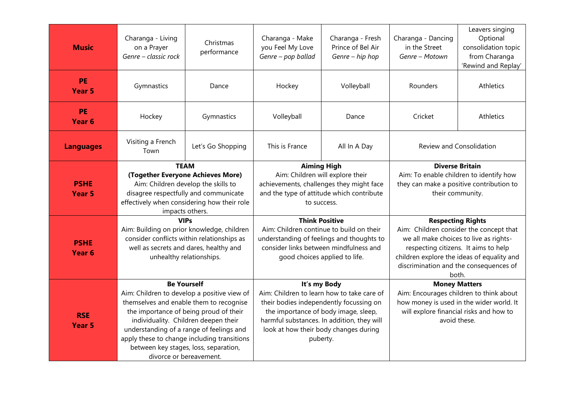| <b>Music</b>                     | Charanga - Living<br>on a Prayer<br>Genre - classic rock                                                                                                                                                                                                                                                                                                      | Christmas<br>performance | Charanga - Make<br>you Feel My Love<br>Genre - pop ballad                                                                                                                                                                                        | Charanga - Fresh<br>Prince of Bel Air<br>Genre - hip hop | Charanga - Dancing<br>in the Street<br>Genre - Motown                                                                                                                                                                                                  | Leavers singing<br>Optional<br>consolidation topic<br>from Charanga<br>'Rewind and Replay' |
|----------------------------------|---------------------------------------------------------------------------------------------------------------------------------------------------------------------------------------------------------------------------------------------------------------------------------------------------------------------------------------------------------------|--------------------------|--------------------------------------------------------------------------------------------------------------------------------------------------------------------------------------------------------------------------------------------------|----------------------------------------------------------|--------------------------------------------------------------------------------------------------------------------------------------------------------------------------------------------------------------------------------------------------------|--------------------------------------------------------------------------------------------|
| PE<br><b>Year 5</b>              | Gymnastics                                                                                                                                                                                                                                                                                                                                                    | Dance                    | Hockey                                                                                                                                                                                                                                           | Volleyball                                               | Rounders                                                                                                                                                                                                                                               | Athletics                                                                                  |
| <b>PE</b><br>Year 6              | Hockey                                                                                                                                                                                                                                                                                                                                                        | Gymnastics               | Volleyball                                                                                                                                                                                                                                       | Dance                                                    | Cricket                                                                                                                                                                                                                                                | Athletics                                                                                  |
| <b>Languages</b>                 | Visiting a French<br>Let's Go Shopping<br>Town                                                                                                                                                                                                                                                                                                                |                          | This is France                                                                                                                                                                                                                                   | All In A Day                                             | Review and Consolidation                                                                                                                                                                                                                               |                                                                                            |
| <b>PSHE</b><br><b>Year 5</b>     | <b>TEAM</b><br>(Together Everyone Achieves More)<br>Aim: Children develop the skills to<br>disagree respectfully and communicate<br>effectively when considering how their role<br>impacts others.                                                                                                                                                            |                          | <b>Aiming High</b><br>Aim: Children will explore their<br>achievements, challenges they might face<br>and the type of attitude which contribute<br>to success.                                                                                   |                                                          | <b>Diverse Britain</b><br>Aim: To enable children to identify how<br>they can make a positive contribution to<br>their community.                                                                                                                      |                                                                                            |
| <b>PSHE</b><br>Year <sub>6</sub> | <b>VIPs</b><br>Aim: Building on prior knowledge, children<br>consider conflicts within relationships as<br>well as secrets and dares, healthy and<br>unhealthy relationships.                                                                                                                                                                                 |                          | <b>Think Positive</b><br>Aim: Children continue to build on their<br>understanding of feelings and thoughts to<br>consider links between mindfulness and<br>good choices applied to life.                                                        |                                                          | <b>Respecting Rights</b><br>Aim: Children consider the concept that<br>we all make choices to live as rights-<br>respecting citizens. It aims to help<br>children explore the ideas of equality and<br>discrimination and the consequences of<br>both. |                                                                                            |
| <b>RSE</b><br>Year <sub>5</sub>  | <b>Be Yourself</b><br>Aim: Children to develop a positive view of<br>themselves and enable them to recognise<br>the importance of being proud of their<br>individuality. Children deepen their<br>understanding of a range of feelings and<br>apply these to change including transitions<br>between key stages, loss, separation,<br>divorce or bereavement. |                          | It's my Body<br>Aim: Children to learn how to take care of<br>their bodies independently focussing on<br>the importance of body image, sleep,<br>harmful substances. In addition, they will<br>look at how their body changes during<br>puberty. |                                                          | <b>Money Matters</b><br>Aim: Encourages children to think about<br>how money is used in the wider world. It<br>will explore financial risks and how to<br>avoid these.                                                                                 |                                                                                            |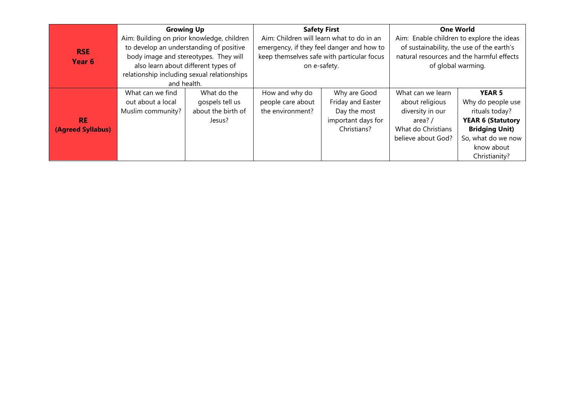| <b>RSE</b><br>Year <sub>6</sub> | <b>Growing Up</b><br>Aim: Building on prior knowledge, children<br>to develop an understanding of positive<br>body image and stereotypes. They will<br>also learn about different types of<br>relationship including sexual relationships<br>and health. |                                                                | <b>Safety First</b><br>Aim: Children will learn what to do in an<br>emergency, if they feel danger and how to<br>keep themselves safe with particular focus<br>on e-safety. |                                                                                        | <b>One World</b><br>Aim: Enable children to explore the ideas<br>of sustainability, the use of the earth's<br>natural resources and the harmful effects<br>of global warming. |                                                                                                                                                                |
|---------------------------------|----------------------------------------------------------------------------------------------------------------------------------------------------------------------------------------------------------------------------------------------------------|----------------------------------------------------------------|-----------------------------------------------------------------------------------------------------------------------------------------------------------------------------|----------------------------------------------------------------------------------------|-------------------------------------------------------------------------------------------------------------------------------------------------------------------------------|----------------------------------------------------------------------------------------------------------------------------------------------------------------|
| <b>RE</b><br>(Agreed Syllabus)  | What can we find<br>out about a local<br>Muslim community?                                                                                                                                                                                               | What do the<br>gospels tell us<br>about the birth of<br>Jesus? | How and why do<br>people care about<br>the environment?                                                                                                                     | Why are Good<br>Friday and Easter<br>Day the most<br>important days for<br>Christians? | What can we learn<br>about religious<br>diversity in our<br>area? /<br>What do Christians<br>believe about God?                                                               | <b>YEAR 5</b><br>Why do people use<br>rituals today?<br><b>YEAR 6 (Statutory</b><br><b>Bridging Unit)</b><br>So, what do we now<br>know about<br>Christianity? |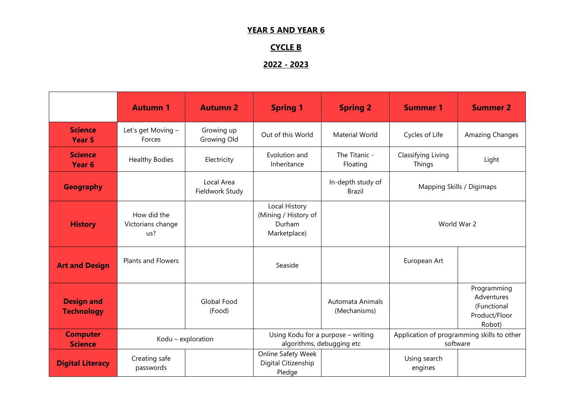#### **YEAR 5 AND YEAR 6**

### **CYCLE B**

### **2022 - 2023**

|                                        | <b>Autumn 1</b>                         | <b>Autumn 2</b>               | <b>Spring 1</b>                                                 | <b>Spring 2</b>                  | <b>Summer 1</b>                                        | <b>Summer 2</b>                                                     |
|----------------------------------------|-----------------------------------------|-------------------------------|-----------------------------------------------------------------|----------------------------------|--------------------------------------------------------|---------------------------------------------------------------------|
| <b>Science</b><br>Year 5               | Let's get Moving -<br>Forces            | Growing up<br>Growing Old     | Out of this World                                               | <b>Material World</b>            | Cycles of Life                                         | Amazing Changes                                                     |
| <b>Science</b><br>Year 6               | <b>Healthy Bodies</b>                   | Electricity                   | Evolution and<br>Inheritance                                    | The Titanic -<br>Floating        | Classifying Living<br>Things                           | Light                                                               |
| <b>Geography</b>                       |                                         | Local Area<br>Fieldwork Study |                                                                 | In-depth study of<br>Brazil      | Mapping Skills / Digimaps                              |                                                                     |
| <b>History</b>                         | How did the<br>Victorians change<br>us? |                               | Local History<br>(Mining / History of<br>Durham<br>Marketplace) |                                  | World War 2                                            |                                                                     |
| <b>Art and Design</b>                  | <b>Plants and Flowers</b>               |                               | Seaside                                                         |                                  | European Art                                           |                                                                     |
| <b>Design and</b><br><b>Technology</b> |                                         | Global Food<br>(Food)         |                                                                 | Automata Animals<br>(Mechanisms) |                                                        | Programming<br>Adventures<br>(Functional<br>Product/Floor<br>Robot) |
| <b>Computer</b><br><b>Science</b>      | Kodu - exploration                      |                               | Using Kodu for a purpose - writing<br>algorithms, debugging etc |                                  | Application of programming skills to other<br>software |                                                                     |
| <b>Digital Literacy</b>                | Creating safe<br>passwords              |                               | Online Safety Week<br>Digital Citizenship<br>Pledge             |                                  | Using search<br>engines                                |                                                                     |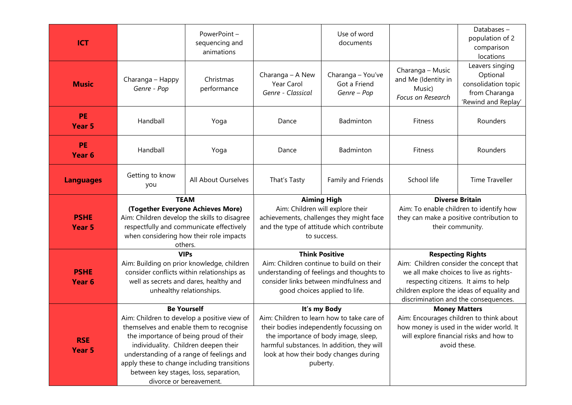| <b>ICT</b>                     |                                                                                                                                                                                                                                                                                                                                                               | PowerPoint-<br>sequencing and<br>animations |                                                                                                                                                                                                                                                  | Use of word<br>documents                         |                                                                                                                                                                                                                                             | Databases-<br>population of 2<br>comparison<br>locations                                   |
|--------------------------------|---------------------------------------------------------------------------------------------------------------------------------------------------------------------------------------------------------------------------------------------------------------------------------------------------------------------------------------------------------------|---------------------------------------------|--------------------------------------------------------------------------------------------------------------------------------------------------------------------------------------------------------------------------------------------------|--------------------------------------------------|---------------------------------------------------------------------------------------------------------------------------------------------------------------------------------------------------------------------------------------------|--------------------------------------------------------------------------------------------|
| <b>Music</b>                   | Charanga - Happy<br>Genre - Pop                                                                                                                                                                                                                                                                                                                               | Christmas<br>performance                    | Charanga - A New<br>Year Carol<br>Genre - Classical                                                                                                                                                                                              | Charanga - You've<br>Got a Friend<br>Genre - Pop | Charanga - Music<br>and Me (Identity in<br>Music)<br>Focus on Research                                                                                                                                                                      | Leavers singing<br>Optional<br>consolidation topic<br>from Charanga<br>'Rewind and Replay' |
| <b>PE</b><br>Year <sub>5</sub> | Handball                                                                                                                                                                                                                                                                                                                                                      | Yoga                                        | Dance                                                                                                                                                                                                                                            | Badminton                                        | Fitness                                                                                                                                                                                                                                     | Rounders                                                                                   |
| <b>PE</b><br>Year 6            | Handball                                                                                                                                                                                                                                                                                                                                                      | Yoga                                        | Dance                                                                                                                                                                                                                                            | Badminton                                        | Fitness                                                                                                                                                                                                                                     | Rounders                                                                                   |
| <b>Languages</b>               | Getting to know<br>you                                                                                                                                                                                                                                                                                                                                        | All About Ourselves                         | That's Tasty                                                                                                                                                                                                                                     | Family and Friends                               | School life                                                                                                                                                                                                                                 | <b>Time Traveller</b>                                                                      |
| <b>PSHE</b><br>Year 5          | <b>TEAM</b><br>(Together Everyone Achieves More)<br>Aim: Children develop the skills to disagree<br>respectfully and communicate effectively<br>when considering how their role impacts<br>others.                                                                                                                                                            |                                             | <b>Aiming High</b><br>Aim: Children will explore their<br>achievements, challenges they might face<br>and the type of attitude which contribute<br>to success.                                                                                   |                                                  | <b>Diverse Britain</b><br>Aim: To enable children to identify how<br>they can make a positive contribution to<br>their community.                                                                                                           |                                                                                            |
| <b>PSHE</b><br>Year 6          | <b>VIPs</b><br>Aim: Building on prior knowledge, children<br>consider conflicts within relationships as<br>well as secrets and dares, healthy and<br>unhealthy relationships.                                                                                                                                                                                 |                                             | <b>Think Positive</b><br>Aim: Children continue to build on their<br>understanding of feelings and thoughts to<br>consider links between mindfulness and<br>good choices applied to life.                                                        |                                                  | <b>Respecting Rights</b><br>Aim: Children consider the concept that<br>we all make choices to live as rights-<br>respecting citizens. It aims to help<br>children explore the ideas of equality and<br>discrimination and the consequences. |                                                                                            |
| <b>RSE</b><br>Year 5           | <b>Be Yourself</b><br>Aim: Children to develop a positive view of<br>themselves and enable them to recognise<br>the importance of being proud of their<br>individuality. Children deepen their<br>understanding of a range of feelings and<br>apply these to change including transitions<br>between key stages, loss, separation,<br>divorce or bereavement. |                                             | It's my Body<br>Aim: Children to learn how to take care of<br>their bodies independently focussing on<br>the importance of body image, sleep,<br>harmful substances. In addition, they will<br>look at how their body changes during<br>puberty. |                                                  | <b>Money Matters</b><br>Aim: Encourages children to think about<br>how money is used in the wider world. It<br>will explore financial risks and how to<br>avoid these.                                                                      |                                                                                            |